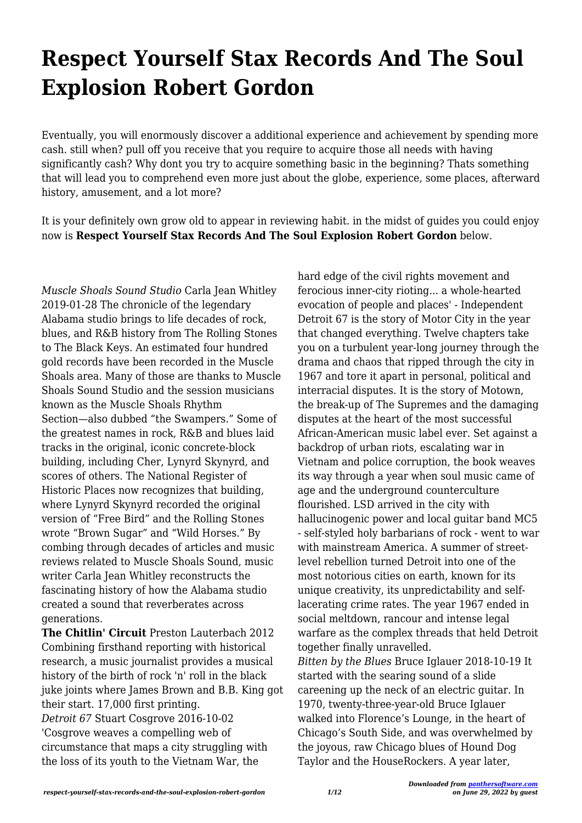## **Respect Yourself Stax Records And The Soul Explosion Robert Gordon**

Eventually, you will enormously discover a additional experience and achievement by spending more cash. still when? pull off you receive that you require to acquire those all needs with having significantly cash? Why dont you try to acquire something basic in the beginning? Thats something that will lead you to comprehend even more just about the globe, experience, some places, afterward history, amusement, and a lot more?

It is your definitely own grow old to appear in reviewing habit. in the midst of guides you could enjoy now is **Respect Yourself Stax Records And The Soul Explosion Robert Gordon** below.

*Muscle Shoals Sound Studio* Carla Jean Whitley 2019-01-28 The chronicle of the legendary Alabama studio brings to life decades of rock, blues, and R&B history from The Rolling Stones to The Black Keys. An estimated four hundred gold records have been recorded in the Muscle Shoals area. Many of those are thanks to Muscle Shoals Sound Studio and the session musicians known as the Muscle Shoals Rhythm Section—also dubbed "the Swampers." Some of the greatest names in rock, R&B and blues laid tracks in the original, iconic concrete-block building, including Cher, Lynyrd Skynyrd, and scores of others. The National Register of Historic Places now recognizes that building, where Lynyrd Skynyrd recorded the original version of "Free Bird" and the Rolling Stones wrote "Brown Sugar" and "Wild Horses." By combing through decades of articles and music reviews related to Muscle Shoals Sound, music writer Carla Jean Whitley reconstructs the fascinating history of how the Alabama studio created a sound that reverberates across generations.

**The Chitlin' Circuit** Preston Lauterbach 2012 Combining firsthand reporting with historical research, a music journalist provides a musical history of the birth of rock 'n' roll in the black juke joints where James Brown and B.B. King got their start. 17,000 first printing. *Detroit 67* Stuart Cosgrove 2016-10-02

'Cosgrove weaves a compelling web of circumstance that maps a city struggling with the loss of its youth to the Vietnam War, the

hard edge of the civil rights movement and ferocious inner-city rioting... a whole-hearted evocation of people and places' - Independent Detroit 67 is the story of Motor City in the year that changed everything. Twelve chapters take you on a turbulent year-long journey through the drama and chaos that ripped through the city in 1967 and tore it apart in personal, political and interracial disputes. It is the story of Motown, the break-up of The Supremes and the damaging disputes at the heart of the most successful African-American music label ever. Set against a backdrop of urban riots, escalating war in Vietnam and police corruption, the book weaves its way through a year when soul music came of age and the underground counterculture flourished. LSD arrived in the city with hallucinogenic power and local guitar band MC5 - self-styled holy barbarians of rock - went to war with mainstream America. A summer of streetlevel rebellion turned Detroit into one of the most notorious cities on earth, known for its unique creativity, its unpredictability and selflacerating crime rates. The year 1967 ended in social meltdown, rancour and intense legal warfare as the complex threads that held Detroit together finally unravelled. *Bitten by the Blues* Bruce Iglauer 2018-10-19 It started with the searing sound of a slide careening up the neck of an electric guitar. In 1970, twenty-three-year-old Bruce Iglauer walked into Florence's Lounge, in the heart of Chicago's South Side, and was overwhelmed by the joyous, raw Chicago blues of Hound Dog Taylor and the HouseRockers. A year later,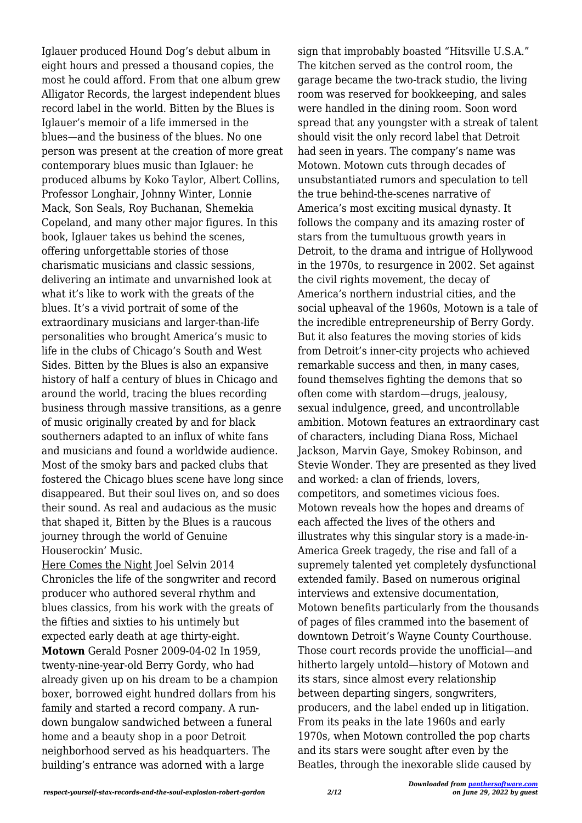Iglauer produced Hound Dog's debut album in eight hours and pressed a thousand copies, the most he could afford. From that one album grew Alligator Records, the largest independent blues record label in the world. Bitten by the Blues is Iglauer's memoir of a life immersed in the blues—and the business of the blues. No one person was present at the creation of more great contemporary blues music than Iglauer: he produced albums by Koko Taylor, Albert Collins, Professor Longhair, Johnny Winter, Lonnie Mack, Son Seals, Roy Buchanan, Shemekia Copeland, and many other major figures. In this book, Iglauer takes us behind the scenes, offering unforgettable stories of those charismatic musicians and classic sessions, delivering an intimate and unvarnished look at what it's like to work with the greats of the blues. It's a vivid portrait of some of the extraordinary musicians and larger-than-life personalities who brought America's music to life in the clubs of Chicago's South and West Sides. Bitten by the Blues is also an expansive history of half a century of blues in Chicago and around the world, tracing the blues recording business through massive transitions, as a genre of music originally created by and for black southerners adapted to an influx of white fans and musicians and found a worldwide audience. Most of the smoky bars and packed clubs that fostered the Chicago blues scene have long since disappeared. But their soul lives on, and so does their sound. As real and audacious as the music that shaped it, Bitten by the Blues is a raucous journey through the world of Genuine Houserockin' Music.

Here Comes the Night Joel Selvin 2014 Chronicles the life of the songwriter and record producer who authored several rhythm and blues classics, from his work with the greats of the fifties and sixties to his untimely but expected early death at age thirty-eight. **Motown** Gerald Posner 2009-04-02 In 1959, twenty-nine-year-old Berry Gordy, who had already given up on his dream to be a champion boxer, borrowed eight hundred dollars from his family and started a record company. A rundown bungalow sandwiched between a funeral home and a beauty shop in a poor Detroit neighborhood served as his headquarters. The building's entrance was adorned with a large

sign that improbably boasted "Hitsville U.S.A." The kitchen served as the control room, the garage became the two-track studio, the living room was reserved for bookkeeping, and sales were handled in the dining room. Soon word spread that any youngster with a streak of talent should visit the only record label that Detroit had seen in years. The company's name was Motown. Motown cuts through decades of unsubstantiated rumors and speculation to tell the true behind-the-scenes narrative of America's most exciting musical dynasty. It follows the company and its amazing roster of stars from the tumultuous growth years in Detroit, to the drama and intrigue of Hollywood in the 1970s, to resurgence in 2002. Set against the civil rights movement, the decay of America's northern industrial cities, and the social upheaval of the 1960s, Motown is a tale of the incredible entrepreneurship of Berry Gordy. But it also features the moving stories of kids from Detroit's inner-city projects who achieved remarkable success and then, in many cases, found themselves fighting the demons that so often come with stardom—drugs, jealousy, sexual indulgence, greed, and uncontrollable ambition. Motown features an extraordinary cast of characters, including Diana Ross, Michael Jackson, Marvin Gaye, Smokey Robinson, and Stevie Wonder. They are presented as they lived and worked: a clan of friends, lovers, competitors, and sometimes vicious foes. Motown reveals how the hopes and dreams of each affected the lives of the others and illustrates why this singular story is a made-in-America Greek tragedy, the rise and fall of a supremely talented yet completely dysfunctional extended family. Based on numerous original interviews and extensive documentation, Motown benefits particularly from the thousands of pages of files crammed into the basement of downtown Detroit's Wayne County Courthouse. Those court records provide the unofficial—and hitherto largely untold—history of Motown and its stars, since almost every relationship between departing singers, songwriters, producers, and the label ended up in litigation. From its peaks in the late 1960s and early 1970s, when Motown controlled the pop charts and its stars were sought after even by the Beatles, through the inexorable slide caused by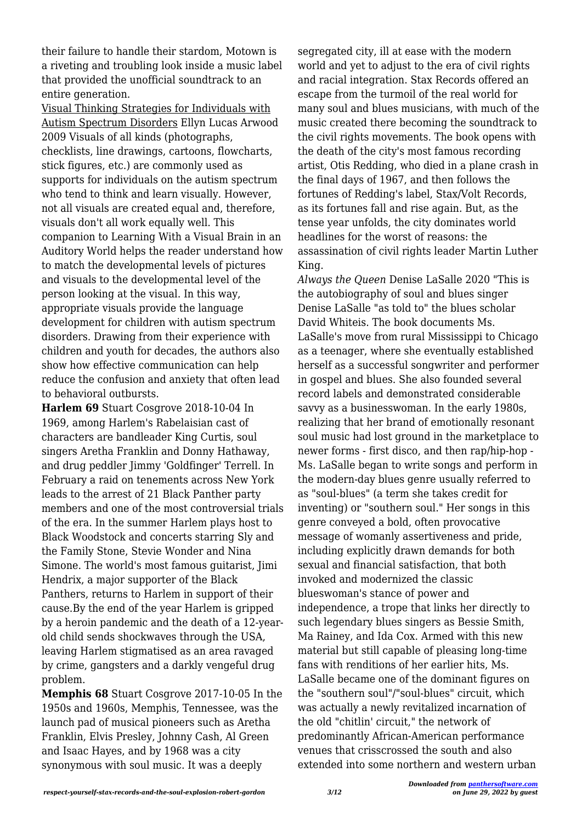their failure to handle their stardom, Motown is a riveting and troubling look inside a music label that provided the unofficial soundtrack to an entire generation.

Visual Thinking Strategies for Individuals with Autism Spectrum Disorders Ellyn Lucas Arwood 2009 Visuals of all kinds (photographs, checklists, line drawings, cartoons, flowcharts, stick figures, etc.) are commonly used as supports for individuals on the autism spectrum who tend to think and learn visually. However, not all visuals are created equal and, therefore, visuals don't all work equally well. This companion to Learning With a Visual Brain in an Auditory World helps the reader understand how to match the developmental levels of pictures and visuals to the developmental level of the person looking at the visual. In this way, appropriate visuals provide the language development for children with autism spectrum disorders. Drawing from their experience with children and youth for decades, the authors also show how effective communication can help reduce the confusion and anxiety that often lead to behavioral outbursts.

**Harlem 69** Stuart Cosgrove 2018-10-04 In 1969, among Harlem's Rabelaisian cast of characters are bandleader King Curtis, soul singers Aretha Franklin and Donny Hathaway, and drug peddler Jimmy 'Goldfinger' Terrell. In February a raid on tenements across New York leads to the arrest of 21 Black Panther party members and one of the most controversial trials of the era. In the summer Harlem plays host to Black Woodstock and concerts starring Sly and the Family Stone, Stevie Wonder and Nina Simone. The world's most famous guitarist, Jimi Hendrix, a major supporter of the Black Panthers, returns to Harlem in support of their cause.By the end of the year Harlem is gripped by a heroin pandemic and the death of a 12-yearold child sends shockwaves through the USA, leaving Harlem stigmatised as an area ravaged by crime, gangsters and a darkly vengeful drug problem.

**Memphis 68** Stuart Cosgrove 2017-10-05 In the 1950s and 1960s, Memphis, Tennessee, was the launch pad of musical pioneers such as Aretha Franklin, Elvis Presley, Johnny Cash, Al Green and Isaac Hayes, and by 1968 was a city synonymous with soul music. It was a deeply

segregated city, ill at ease with the modern world and yet to adjust to the era of civil rights and racial integration. Stax Records offered an escape from the turmoil of the real world for many soul and blues musicians, with much of the music created there becoming the soundtrack to the civil rights movements. The book opens with the death of the city's most famous recording artist, Otis Redding, who died in a plane crash in the final days of 1967, and then follows the fortunes of Redding's label, Stax/Volt Records, as its fortunes fall and rise again. But, as the tense year unfolds, the city dominates world headlines for the worst of reasons: the assassination of civil rights leader Martin Luther King.

*Always the Queen* Denise LaSalle 2020 "This is the autobiography of soul and blues singer Denise LaSalle "as told to" the blues scholar David Whiteis. The book documents Ms. LaSalle's move from rural Mississippi to Chicago as a teenager, where she eventually established herself as a successful songwriter and performer in gospel and blues. She also founded several record labels and demonstrated considerable savvy as a businesswoman. In the early 1980s, realizing that her brand of emotionally resonant soul music had lost ground in the marketplace to newer forms - first disco, and then rap/hip-hop - Ms. LaSalle began to write songs and perform in the modern-day blues genre usually referred to as "soul-blues" (a term she takes credit for inventing) or "southern soul." Her songs in this genre conveyed a bold, often provocative message of womanly assertiveness and pride, including explicitly drawn demands for both sexual and financial satisfaction, that both invoked and modernized the classic blueswoman's stance of power and independence, a trope that links her directly to such legendary blues singers as Bessie Smith, Ma Rainey, and Ida Cox. Armed with this new material but still capable of pleasing long-time fans with renditions of her earlier hits, Ms. LaSalle became one of the dominant figures on the "southern soul"/"soul-blues" circuit, which was actually a newly revitalized incarnation of the old "chitlin' circuit," the network of predominantly African-American performance venues that crisscrossed the south and also extended into some northern and western urban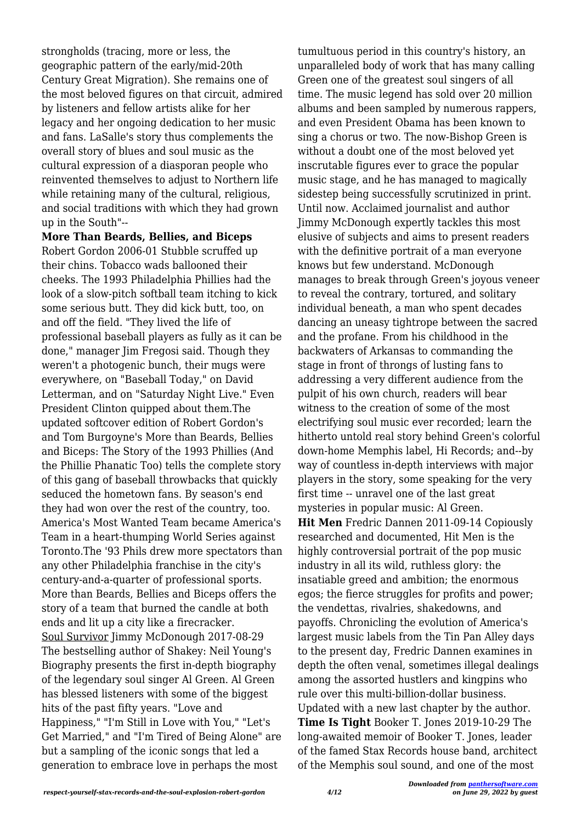strongholds (tracing, more or less, the geographic pattern of the early/mid-20th Century Great Migration). She remains one of the most beloved figures on that circuit, admired by listeners and fellow artists alike for her legacy and her ongoing dedication to her music and fans. LaSalle's story thus complements the overall story of blues and soul music as the cultural expression of a diasporan people who reinvented themselves to adjust to Northern life while retaining many of the cultural, religious, and social traditions with which they had grown up in the South"--

**More Than Beards, Bellies, and Biceps** Robert Gordon 2006-01 Stubble scruffed up their chins. Tobacco wads ballooned their cheeks. The 1993 Philadelphia Phillies had the look of a slow-pitch softball team itching to kick some serious butt. They did kick butt, too, on and off the field. "They lived the life of professional baseball players as fully as it can be done," manager Jim Fregosi said. Though they weren't a photogenic bunch, their mugs were everywhere, on "Baseball Today," on David Letterman, and on "Saturday Night Live." Even President Clinton quipped about them.The updated softcover edition of Robert Gordon's and Tom Burgoyne's More than Beards, Bellies and Biceps: The Story of the 1993 Phillies (And the Phillie Phanatic Too) tells the complete story of this gang of baseball throwbacks that quickly seduced the hometown fans. By season's end they had won over the rest of the country, too. America's Most Wanted Team became America's Team in a heart-thumping World Series against Toronto.The '93 Phils drew more spectators than any other Philadelphia franchise in the city's century-and-a-quarter of professional sports. More than Beards, Bellies and Biceps offers the story of a team that burned the candle at both ends and lit up a city like a firecracker. Soul Survivor Jimmy McDonough 2017-08-29 The bestselling author of Shakey: Neil Young's Biography presents the first in-depth biography of the legendary soul singer Al Green. Al Green has blessed listeners with some of the biggest hits of the past fifty years. "Love and Happiness," "I'm Still in Love with You," "Let's Get Married," and "I'm Tired of Being Alone" are but a sampling of the iconic songs that led a generation to embrace love in perhaps the most

tumultuous period in this country's history, an unparalleled body of work that has many calling Green one of the greatest soul singers of all time. The music legend has sold over 20 million albums and been sampled by numerous rappers, and even President Obama has been known to sing a chorus or two. The now-Bishop Green is without a doubt one of the most beloved yet inscrutable figures ever to grace the popular music stage, and he has managed to magically sidestep being successfully scrutinized in print. Until now. Acclaimed journalist and author Jimmy McDonough expertly tackles this most elusive of subjects and aims to present readers with the definitive portrait of a man everyone knows but few understand. McDonough manages to break through Green's joyous veneer to reveal the contrary, tortured, and solitary individual beneath, a man who spent decades dancing an uneasy tightrope between the sacred and the profane. From his childhood in the backwaters of Arkansas to commanding the stage in front of throngs of lusting fans to addressing a very different audience from the pulpit of his own church, readers will bear witness to the creation of some of the most electrifying soul music ever recorded; learn the hitherto untold real story behind Green's colorful down-home Memphis label, Hi Records; and--by way of countless in-depth interviews with major players in the story, some speaking for the very first time -- unravel one of the last great mysteries in popular music: Al Green. **Hit Men** Fredric Dannen 2011-09-14 Copiously researched and documented, Hit Men is the highly controversial portrait of the pop music industry in all its wild, ruthless glory: the insatiable greed and ambition; the enormous egos; the fierce struggles for profits and power: the vendettas, rivalries, shakedowns, and payoffs. Chronicling the evolution of America's largest music labels from the Tin Pan Alley days to the present day, Fredric Dannen examines in depth the often venal, sometimes illegal dealings among the assorted hustlers and kingpins who rule over this multi-billion-dollar business. Updated with a new last chapter by the author. **Time Is Tight** Booker T. Jones 2019-10-29 The long-awaited memoir of Booker T. Jones, leader of the famed Stax Records house band, architect of the Memphis soul sound, and one of the most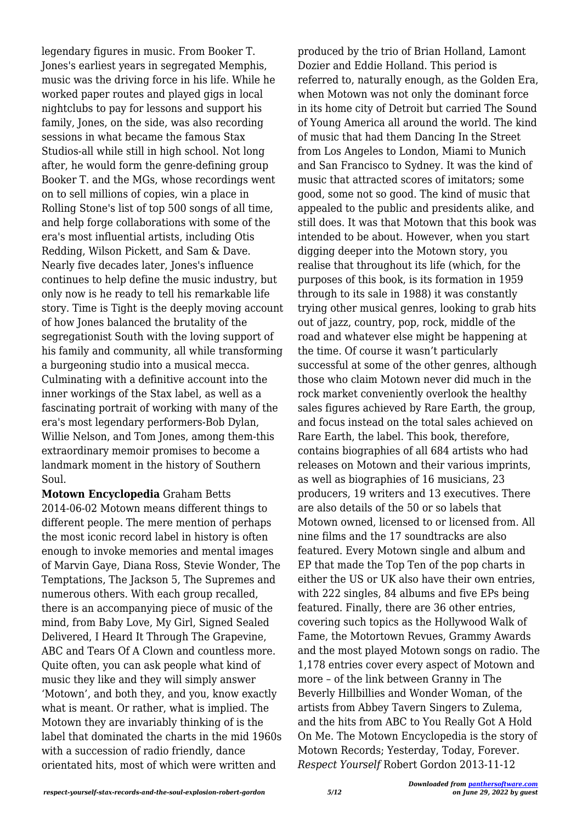legendary figures in music. From Booker T. Jones's earliest years in segregated Memphis, music was the driving force in his life. While he worked paper routes and played gigs in local nightclubs to pay for lessons and support his family, Jones, on the side, was also recording sessions in what became the famous Stax Studios-all while still in high school. Not long after, he would form the genre-defining group Booker T. and the MGs, whose recordings went on to sell millions of copies, win a place in Rolling Stone's list of top 500 songs of all time, and help forge collaborations with some of the era's most influential artists, including Otis Redding, Wilson Pickett, and Sam & Dave. Nearly five decades later, Jones's influence continues to help define the music industry, but only now is he ready to tell his remarkable life story. Time is Tight is the deeply moving account of how Jones balanced the brutality of the segregationist South with the loving support of his family and community, all while transforming a burgeoning studio into a musical mecca. Culminating with a definitive account into the inner workings of the Stax label, as well as a fascinating portrait of working with many of the era's most legendary performers-Bob Dylan, Willie Nelson, and Tom Jones, among them-this extraordinary memoir promises to become a landmark moment in the history of Southern Soul.

**Motown Encyclopedia** Graham Betts 2014-06-02 Motown means different things to different people. The mere mention of perhaps the most iconic record label in history is often enough to invoke memories and mental images of Marvin Gaye, Diana Ross, Stevie Wonder, The Temptations, The Jackson 5, The Supremes and numerous others. With each group recalled, there is an accompanying piece of music of the mind, from Baby Love, My Girl, Signed Sealed Delivered, I Heard It Through The Grapevine, ABC and Tears Of A Clown and countless more. Quite often, you can ask people what kind of music they like and they will simply answer 'Motown', and both they, and you, know exactly what is meant. Or rather, what is implied. The Motown they are invariably thinking of is the label that dominated the charts in the mid 1960s with a succession of radio friendly, dance orientated hits, most of which were written and

produced by the trio of Brian Holland, Lamont Dozier and Eddie Holland. This period is referred to, naturally enough, as the Golden Era, when Motown was not only the dominant force in its home city of Detroit but carried The Sound of Young America all around the world. The kind of music that had them Dancing In the Street from Los Angeles to London, Miami to Munich and San Francisco to Sydney. It was the kind of music that attracted scores of imitators; some good, some not so good. The kind of music that appealed to the public and presidents alike, and still does. It was that Motown that this book was intended to be about. However, when you start digging deeper into the Motown story, you realise that throughout its life (which, for the purposes of this book, is its formation in 1959 through to its sale in 1988) it was constantly trying other musical genres, looking to grab hits out of jazz, country, pop, rock, middle of the road and whatever else might be happening at the time. Of course it wasn't particularly successful at some of the other genres, although those who claim Motown never did much in the rock market conveniently overlook the healthy sales figures achieved by Rare Earth, the group, and focus instead on the total sales achieved on Rare Earth, the label. This book, therefore, contains biographies of all 684 artists who had releases on Motown and their various imprints, as well as biographies of 16 musicians, 23 producers, 19 writers and 13 executives. There are also details of the 50 or so labels that Motown owned, licensed to or licensed from. All nine films and the 17 soundtracks are also featured. Every Motown single and album and EP that made the Top Ten of the pop charts in either the US or UK also have their own entries, with 222 singles, 84 albums and five EPs being featured. Finally, there are 36 other entries, covering such topics as the Hollywood Walk of Fame, the Motortown Revues, Grammy Awards and the most played Motown songs on radio. The 1,178 entries cover every aspect of Motown and more – of the link between Granny in The Beverly Hillbillies and Wonder Woman, of the artists from Abbey Tavern Singers to Zulema, and the hits from ABC to You Really Got A Hold On Me. The Motown Encyclopedia is the story of Motown Records; Yesterday, Today, Forever. *Respect Yourself* Robert Gordon 2013-11-12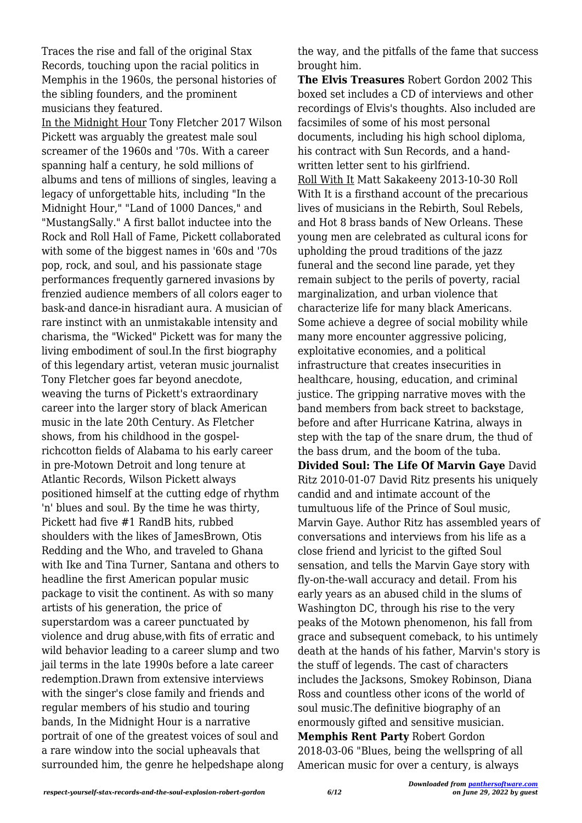Traces the rise and fall of the original Stax Records, touching upon the racial politics in Memphis in the 1960s, the personal histories of the sibling founders, and the prominent musicians they featured.

In the Midnight Hour Tony Fletcher 2017 Wilson Pickett was arguably the greatest male soul screamer of the 1960s and '70s. With a career spanning half a century, he sold millions of albums and tens of millions of singles, leaving a legacy of unforgettable hits, including "In the Midnight Hour," "Land of 1000 Dances," and "MustangSally." A first ballot inductee into the Rock and Roll Hall of Fame, Pickett collaborated with some of the biggest names in '60s and '70s pop, rock, and soul, and his passionate stage performances frequently garnered invasions by frenzied audience members of all colors eager to bask-and dance-in hisradiant aura. A musician of rare instinct with an unmistakable intensity and charisma, the "Wicked" Pickett was for many the living embodiment of soul.In the first biography of this legendary artist, veteran music journalist Tony Fletcher goes far beyond anecdote, weaving the turns of Pickett's extraordinary career into the larger story of black American music in the late 20th Century. As Fletcher shows, from his childhood in the gospelrichcotton fields of Alabama to his early career in pre-Motown Detroit and long tenure at Atlantic Records, Wilson Pickett always positioned himself at the cutting edge of rhythm 'n' blues and soul. By the time he was thirty, Pickett had five #1 RandB hits, rubbed shoulders with the likes of JamesBrown, Otis Redding and the Who, and traveled to Ghana with Ike and Tina Turner, Santana and others to headline the first American popular music package to visit the continent. As with so many artists of his generation, the price of superstardom was a career punctuated by violence and drug abuse,with fits of erratic and wild behavior leading to a career slump and two jail terms in the late 1990s before a late career redemption.Drawn from extensive interviews with the singer's close family and friends and regular members of his studio and touring bands, In the Midnight Hour is a narrative portrait of one of the greatest voices of soul and a rare window into the social upheavals that surrounded him, the genre he helpedshape along the way, and the pitfalls of the fame that success brought him.

**The Elvis Treasures** Robert Gordon 2002 This boxed set includes a CD of interviews and other recordings of Elvis's thoughts. Also included are facsimiles of some of his most personal documents, including his high school diploma, his contract with Sun Records, and a handwritten letter sent to his girlfriend. Roll With It Matt Sakakeeny 2013-10-30 Roll With It is a firsthand account of the precarious lives of musicians in the Rebirth, Soul Rebels, and Hot 8 brass bands of New Orleans. These young men are celebrated as cultural icons for upholding the proud traditions of the jazz funeral and the second line parade, yet they remain subject to the perils of poverty, racial marginalization, and urban violence that characterize life for many black Americans. Some achieve a degree of social mobility while many more encounter aggressive policing, exploitative economies, and a political infrastructure that creates insecurities in healthcare, housing, education, and criminal justice. The gripping narrative moves with the band members from back street to backstage, before and after Hurricane Katrina, always in step with the tap of the snare drum, the thud of the bass drum, and the boom of the tuba. **Divided Soul: The Life Of Marvin Gaye** David Ritz 2010-01-07 David Ritz presents his uniquely candid and and intimate account of the tumultuous life of the Prince of Soul music, Marvin Gaye. Author Ritz has assembled years of conversations and interviews from his life as a close friend and lyricist to the gifted Soul sensation, and tells the Marvin Gaye story with fly-on-the-wall accuracy and detail. From his early years as an abused child in the slums of Washington DC, through his rise to the very peaks of the Motown phenomenon, his fall from grace and subsequent comeback, to his untimely death at the hands of his father, Marvin's story is the stuff of legends. The cast of characters includes the Jacksons, Smokey Robinson, Diana Ross and countless other icons of the world of soul music.The definitive biography of an enormously gifted and sensitive musician. **Memphis Rent Party** Robert Gordon 2018-03-06 "Blues, being the wellspring of all American music for over a century, is always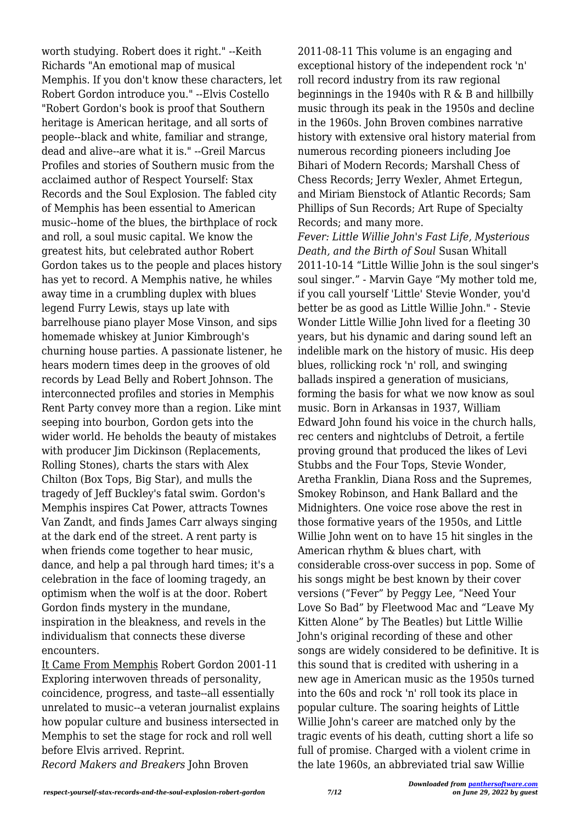worth studying. Robert does it right." --Keith Richards "An emotional map of musical Memphis. If you don't know these characters, let Robert Gordon introduce you." --Elvis Costello "Robert Gordon's book is proof that Southern heritage is American heritage, and all sorts of people--black and white, familiar and strange, dead and alive--are what it is." --Greil Marcus Profiles and stories of Southern music from the acclaimed author of Respect Yourself: Stax Records and the Soul Explosion. The fabled city of Memphis has been essential to American music--home of the blues, the birthplace of rock and roll, a soul music capital. We know the greatest hits, but celebrated author Robert Gordon takes us to the people and places history has yet to record. A Memphis native, he whiles away time in a crumbling duplex with blues legend Furry Lewis, stays up late with barrelhouse piano player Mose Vinson, and sips homemade whiskey at Junior Kimbrough's churning house parties. A passionate listener, he hears modern times deep in the grooves of old records by Lead Belly and Robert Johnson. The interconnected profiles and stories in Memphis Rent Party convey more than a region. Like mint seeping into bourbon, Gordon gets into the wider world. He beholds the beauty of mistakes with producer Jim Dickinson (Replacements, Rolling Stones), charts the stars with Alex Chilton (Box Tops, Big Star), and mulls the tragedy of Jeff Buckley's fatal swim. Gordon's Memphis inspires Cat Power, attracts Townes Van Zandt, and finds James Carr always singing at the dark end of the street. A rent party is when friends come together to hear music, dance, and help a pal through hard times; it's a celebration in the face of looming tragedy, an optimism when the wolf is at the door. Robert Gordon finds mystery in the mundane, inspiration in the bleakness, and revels in the individualism that connects these diverse encounters.

It Came From Memphis Robert Gordon 2001-11 Exploring interwoven threads of personality, coincidence, progress, and taste--all essentially unrelated to music--a veteran journalist explains how popular culture and business intersected in Memphis to set the stage for rock and roll well before Elvis arrived. Reprint.

*Record Makers and Breakers* John Broven

2011-08-11 This volume is an engaging and exceptional history of the independent rock 'n' roll record industry from its raw regional beginnings in the 1940s with R & B and hillbilly music through its peak in the 1950s and decline in the 1960s. John Broven combines narrative history with extensive oral history material from numerous recording pioneers including Joe Bihari of Modern Records; Marshall Chess of Chess Records; Jerry Wexler, Ahmet Ertegun, and Miriam Bienstock of Atlantic Records; Sam Phillips of Sun Records; Art Rupe of Specialty Records; and many more.

*Fever: Little Willie John's Fast Life, Mysterious Death, and the Birth of Soul* Susan Whitall 2011-10-14 "Little Willie John is the soul singer's soul singer." - Marvin Gaye "My mother told me, if you call yourself 'Little' Stevie Wonder, you'd better be as good as Little Willie John." - Stevie Wonder Little Willie John lived for a fleeting 30 years, but his dynamic and daring sound left an indelible mark on the history of music. His deep blues, rollicking rock 'n' roll, and swinging ballads inspired a generation of musicians, forming the basis for what we now know as soul music. Born in Arkansas in 1937, William Edward John found his voice in the church halls, rec centers and nightclubs of Detroit, a fertile proving ground that produced the likes of Levi Stubbs and the Four Tops, Stevie Wonder, Aretha Franklin, Diana Ross and the Supremes, Smokey Robinson, and Hank Ballard and the Midnighters. One voice rose above the rest in those formative years of the 1950s, and Little Willie John went on to have 15 hit singles in the American rhythm & blues chart, with considerable cross-over success in pop. Some of his songs might be best known by their cover versions ("Fever" by Peggy Lee, "Need Your Love So Bad" by Fleetwood Mac and "Leave My Kitten Alone" by The Beatles) but Little Willie John's original recording of these and other songs are widely considered to be definitive. It is this sound that is credited with ushering in a new age in American music as the 1950s turned into the 60s and rock 'n' roll took its place in popular culture. The soaring heights of Little Willie John's career are matched only by the tragic events of his death, cutting short a life so full of promise. Charged with a violent crime in the late 1960s, an abbreviated trial saw Willie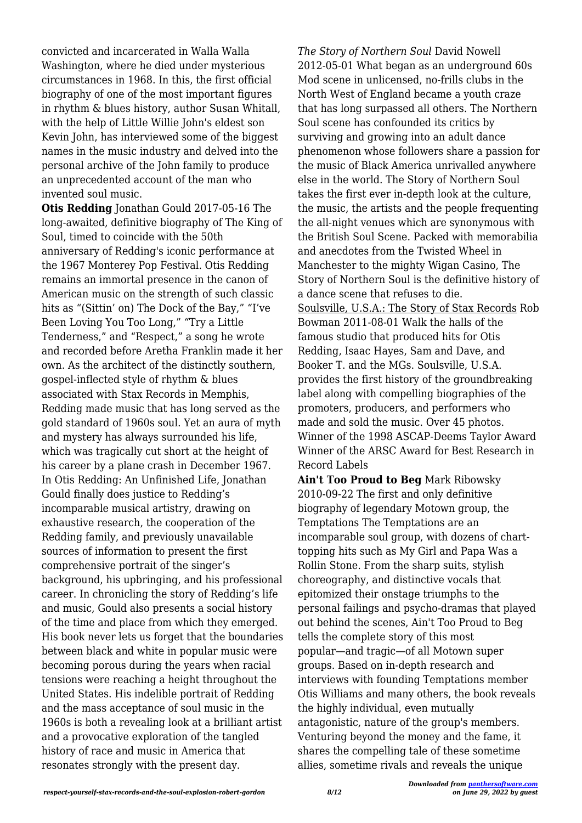convicted and incarcerated in Walla Walla Washington, where he died under mysterious circumstances in 1968. In this, the first official biography of one of the most important figures in rhythm & blues history, author Susan Whitall, with the help of Little Willie John's eldest son Kevin John, has interviewed some of the biggest names in the music industry and delved into the personal archive of the John family to produce an unprecedented account of the man who invented soul music.

**Otis Redding** Jonathan Gould 2017-05-16 The long-awaited, definitive biography of The King of Soul, timed to coincide with the 50th anniversary of Redding's iconic performance at the 1967 Monterey Pop Festival. Otis Redding remains an immortal presence in the canon of American music on the strength of such classic hits as "(Sittin' on) The Dock of the Bay," "I've Been Loving You Too Long," "Try a Little Tenderness," and "Respect," a song he wrote and recorded before Aretha Franklin made it her own. As the architect of the distinctly southern, gospel-inflected style of rhythm & blues associated with Stax Records in Memphis, Redding made music that has long served as the gold standard of 1960s soul. Yet an aura of myth and mystery has always surrounded his life, which was tragically cut short at the height of his career by a plane crash in December 1967. In Otis Redding: An Unfinished Life, Jonathan Gould finally does justice to Redding's incomparable musical artistry, drawing on exhaustive research, the cooperation of the Redding family, and previously unavailable sources of information to present the first comprehensive portrait of the singer's background, his upbringing, and his professional career. In chronicling the story of Redding's life and music, Gould also presents a social history of the time and place from which they emerged. His book never lets us forget that the boundaries between black and white in popular music were becoming porous during the years when racial tensions were reaching a height throughout the United States. His indelible portrait of Redding and the mass acceptance of soul music in the 1960s is both a revealing look at a brilliant artist and a provocative exploration of the tangled history of race and music in America that resonates strongly with the present day.

*The Story of Northern Soul* David Nowell 2012-05-01 What began as an underground 60s Mod scene in unlicensed, no-frills clubs in the North West of England became a youth craze that has long surpassed all others. The Northern Soul scene has confounded its critics by surviving and growing into an adult dance phenomenon whose followers share a passion for the music of Black America unrivalled anywhere else in the world. The Story of Northern Soul takes the first ever in-depth look at the culture, the music, the artists and the people frequenting the all-night venues which are synonymous with the British Soul Scene. Packed with memorabilia and anecdotes from the Twisted Wheel in Manchester to the mighty Wigan Casino, The Story of Northern Soul is the definitive history of a dance scene that refuses to die. Soulsville, U.S.A.: The Story of Stax Records Rob Bowman 2011-08-01 Walk the halls of the famous studio that produced hits for Otis Redding, Isaac Hayes, Sam and Dave, and Booker T. and the MGs. Soulsville, U.S.A. provides the first history of the groundbreaking label along with compelling biographies of the promoters, producers, and performers who made and sold the music. Over 45 photos. Winner of the 1998 ASCAP-Deems Taylor Award Winner of the ARSC Award for Best Research in Record Labels

**Ain't Too Proud to Beg** Mark Ribowsky 2010-09-22 The first and only definitive biography of legendary Motown group, the Temptations The Temptations are an incomparable soul group, with dozens of charttopping hits such as My Girl and Papa Was a Rollin Stone. From the sharp suits, stylish choreography, and distinctive vocals that epitomized their onstage triumphs to the personal failings and psycho-dramas that played out behind the scenes, Ain't Too Proud to Beg tells the complete story of this most popular—and tragic—of all Motown super groups. Based on in-depth research and interviews with founding Temptations member Otis Williams and many others, the book reveals the highly individual, even mutually antagonistic, nature of the group's members. Venturing beyond the money and the fame, it shares the compelling tale of these sometime allies, sometime rivals and reveals the unique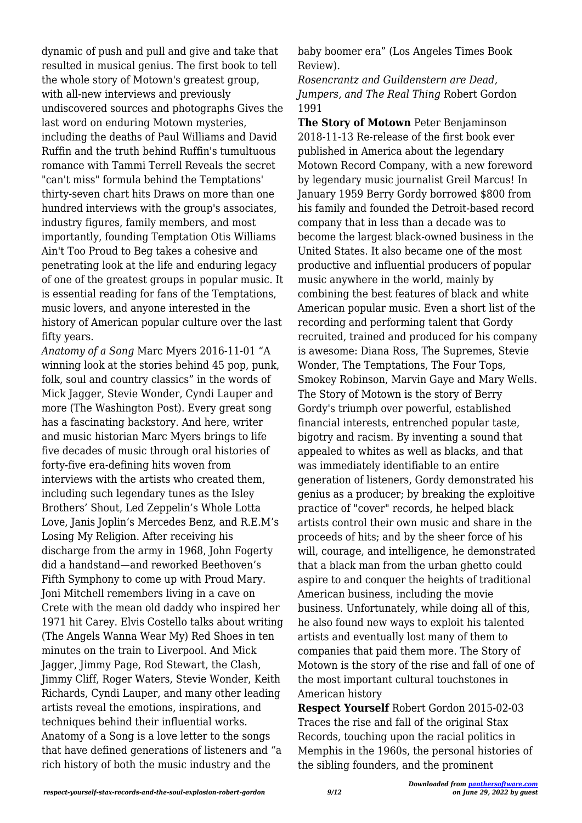dynamic of push and pull and give and take that resulted in musical genius. The first book to tell the whole story of Motown's greatest group, with all-new interviews and previously undiscovered sources and photographs Gives the last word on enduring Motown mysteries, including the deaths of Paul Williams and David Ruffin and the truth behind Ruffin's tumultuous romance with Tammi Terrell Reveals the secret "can't miss" formula behind the Temptations' thirty-seven chart hits Draws on more than one hundred interviews with the group's associates, industry figures, family members, and most importantly, founding Temptation Otis Williams Ain't Too Proud to Beg takes a cohesive and penetrating look at the life and enduring legacy of one of the greatest groups in popular music. It is essential reading for fans of the Temptations, music lovers, and anyone interested in the history of American popular culture over the last fifty years.

*Anatomy of a Song* Marc Myers 2016-11-01 "A winning look at the stories behind 45 pop, punk, folk, soul and country classics" in the words of Mick Jagger, Stevie Wonder, Cyndi Lauper and more (The Washington Post). Every great song has a fascinating backstory. And here, writer and music historian Marc Myers brings to life five decades of music through oral histories of forty-five era-defining hits woven from interviews with the artists who created them, including such legendary tunes as the Isley Brothers' Shout, Led Zeppelin's Whole Lotta Love, Janis Joplin's Mercedes Benz, and R.E.M's Losing My Religion. After receiving his discharge from the army in 1968, John Fogerty did a handstand—and reworked Beethoven's Fifth Symphony to come up with Proud Mary. Joni Mitchell remembers living in a cave on Crete with the mean old daddy who inspired her 1971 hit Carey. Elvis Costello talks about writing (The Angels Wanna Wear My) Red Shoes in ten minutes on the train to Liverpool. And Mick Jagger, Jimmy Page, Rod Stewart, the Clash, Jimmy Cliff, Roger Waters, Stevie Wonder, Keith Richards, Cyndi Lauper, and many other leading artists reveal the emotions, inspirations, and techniques behind their influential works. Anatomy of a Song is a love letter to the songs that have defined generations of listeners and "a rich history of both the music industry and the

baby boomer era" (Los Angeles Times Book Review).

*Rosencrantz and Guildenstern are Dead, Jumpers, and The Real Thing* Robert Gordon 1991

**The Story of Motown** Peter Benjaminson 2018-11-13 Re-release of the first book ever published in America about the legendary Motown Record Company, with a new foreword by legendary music journalist Greil Marcus! In January 1959 Berry Gordy borrowed \$800 from his family and founded the Detroit-based record company that in less than a decade was to become the largest black-owned business in the United States. It also became one of the most productive and influential producers of popular music anywhere in the world, mainly by combining the best features of black and white American popular music. Even a short list of the recording and performing talent that Gordy recruited, trained and produced for his company is awesome: Diana Ross, The Supremes, Stevie Wonder, The Temptations, The Four Tops, Smokey Robinson, Marvin Gaye and Mary Wells. The Story of Motown is the story of Berry Gordy's triumph over powerful, established financial interests, entrenched popular taste, bigotry and racism. By inventing a sound that appealed to whites as well as blacks, and that was immediately identifiable to an entire generation of listeners, Gordy demonstrated his genius as a producer; by breaking the exploitive practice of "cover" records, he helped black artists control their own music and share in the proceeds of hits; and by the sheer force of his will, courage, and intelligence, he demonstrated that a black man from the urban ghetto could aspire to and conquer the heights of traditional American business, including the movie business. Unfortunately, while doing all of this, he also found new ways to exploit his talented artists and eventually lost many of them to companies that paid them more. The Story of Motown is the story of the rise and fall of one of the most important cultural touchstones in American history

**Respect Yourself** Robert Gordon 2015-02-03 Traces the rise and fall of the original Stax Records, touching upon the racial politics in Memphis in the 1960s, the personal histories of the sibling founders, and the prominent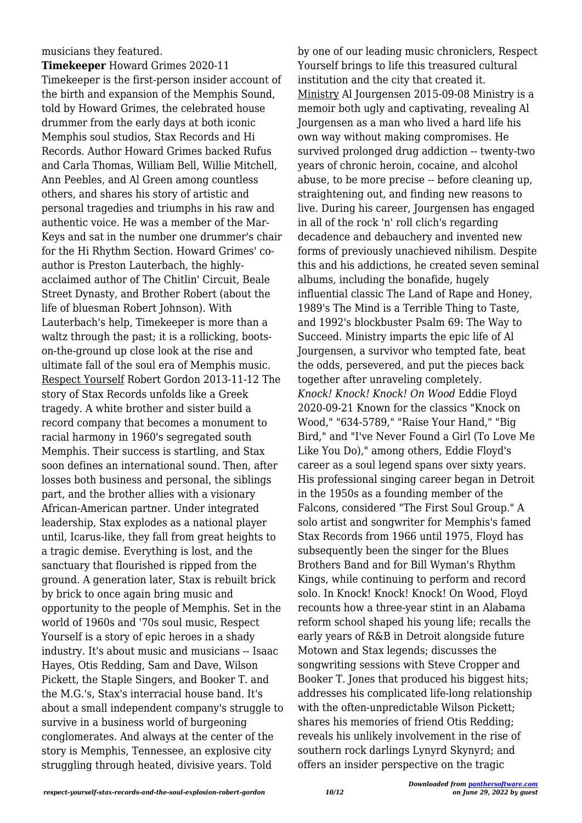## musicians they featured.

**Timekeeper** Howard Grimes 2020-11 Timekeeper is the first-person insider account of the birth and expansion of the Memphis Sound, told by Howard Grimes, the celebrated house drummer from the early days at both iconic Memphis soul studios, Stax Records and Hi Records. Author Howard Grimes backed Rufus and Carla Thomas, William Bell, Willie Mitchell, Ann Peebles, and Al Green among countless others, and shares his story of artistic and personal tragedies and triumphs in his raw and authentic voice. He was a member of the Mar-Keys and sat in the number one drummer's chair for the Hi Rhythm Section. Howard Grimes' coauthor is Preston Lauterbach, the highlyacclaimed author of The Chitlin' Circuit, Beale Street Dynasty, and Brother Robert (about the life of bluesman Robert Johnson). With Lauterbach's help, Timekeeper is more than a waltz through the past; it is a rollicking, bootson-the-ground up close look at the rise and ultimate fall of the soul era of Memphis music. Respect Yourself Robert Gordon 2013-11-12 The story of Stax Records unfolds like a Greek tragedy. A white brother and sister build a record company that becomes a monument to racial harmony in 1960's segregated south Memphis. Their success is startling, and Stax soon defines an international sound. Then, after losses both business and personal, the siblings part, and the brother allies with a visionary African-American partner. Under integrated leadership, Stax explodes as a national player until, Icarus-like, they fall from great heights to a tragic demise. Everything is lost, and the sanctuary that flourished is ripped from the ground. A generation later, Stax is rebuilt brick by brick to once again bring music and opportunity to the people of Memphis. Set in the world of 1960s and '70s soul music, Respect Yourself is a story of epic heroes in a shady industry. It's about music and musicians -- Isaac Hayes, Otis Redding, Sam and Dave, Wilson Pickett, the Staple Singers, and Booker T. and the M.G.'s, Stax's interracial house band. It's about a small independent company's struggle to survive in a business world of burgeoning conglomerates. And always at the center of the story is Memphis, Tennessee, an explosive city struggling through heated, divisive years. Told

by one of our leading music chroniclers, Respect Yourself brings to life this treasured cultural institution and the city that created it. Ministry Al Jourgensen 2015-09-08 Ministry is a memoir both ugly and captivating, revealing Al Jourgensen as a man who lived a hard life his own way without making compromises. He survived prolonged drug addiction -- twenty-two years of chronic heroin, cocaine, and alcohol abuse, to be more precise -- before cleaning up, straightening out, and finding new reasons to live. During his career, Jourgensen has engaged in all of the rock 'n' roll clich's regarding decadence and debauchery and invented new forms of previously unachieved nihilism. Despite this and his addictions, he created seven seminal albums, including the bonafide, hugely influential classic The Land of Rape and Honey, 1989's The Mind is a Terrible Thing to Taste, and 1992's blockbuster Psalm 69: The Way to Succeed. Ministry imparts the epic life of Al Jourgensen, a survivor who tempted fate, beat the odds, persevered, and put the pieces back together after unraveling completely. *Knock! Knock! Knock! On Wood* Eddie Floyd 2020-09-21 Known for the classics "Knock on Wood," "634-5789," "Raise Your Hand," "Big Bird," and "I've Never Found a Girl (To Love Me Like You Do)," among others, Eddie Floyd's career as a soul legend spans over sixty years. His professional singing career began in Detroit in the 1950s as a founding member of the Falcons, considered "The First Soul Group." A solo artist and songwriter for Memphis's famed Stax Records from 1966 until 1975, Floyd has subsequently been the singer for the Blues Brothers Band and for Bill Wyman's Rhythm Kings, while continuing to perform and record solo. In Knock! Knock! Knock! On Wood, Floyd recounts how a three-year stint in an Alabama reform school shaped his young life; recalls the early years of R&B in Detroit alongside future Motown and Stax legends; discusses the songwriting sessions with Steve Cropper and Booker T. Jones that produced his biggest hits; addresses his complicated life-long relationship with the often-unpredictable Wilson Pickett; shares his memories of friend Otis Redding; reveals his unlikely involvement in the rise of southern rock darlings Lynyrd Skynyrd; and offers an insider perspective on the tragic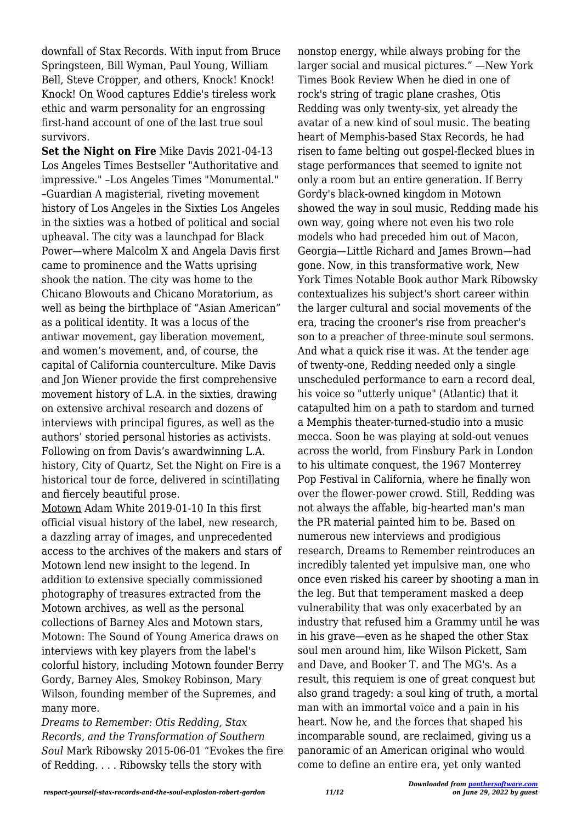downfall of Stax Records. With input from Bruce Springsteen, Bill Wyman, Paul Young, William Bell, Steve Cropper, and others, Knock! Knock! Knock! On Wood captures Eddie's tireless work ethic and warm personality for an engrossing first-hand account of one of the last true soul survivors.

**Set the Night on Fire** Mike Davis 2021-04-13 Los Angeles Times Bestseller "Authoritative and impressive." –Los Angeles Times "Monumental." –Guardian A magisterial, riveting movement history of Los Angeles in the Sixties Los Angeles in the sixties was a hotbed of political and social upheaval. The city was a launchpad for Black Power—where Malcolm X and Angela Davis first came to prominence and the Watts uprising shook the nation. The city was home to the Chicano Blowouts and Chicano Moratorium, as well as being the birthplace of "Asian American" as a political identity. It was a locus of the antiwar movement, gay liberation movement, and women's movement, and, of course, the capital of California counterculture. Mike Davis and Jon Wiener provide the first comprehensive movement history of L.A. in the sixties, drawing on extensive archival research and dozens of interviews with principal figures, as well as the authors' storied personal histories as activists. Following on from Davis's awardwinning L.A. history, City of Quartz, Set the Night on Fire is a historical tour de force, delivered in scintillating and fiercely beautiful prose.

Motown Adam White 2019-01-10 In this first official visual history of the label, new research, a dazzling array of images, and unprecedented access to the archives of the makers and stars of Motown lend new insight to the legend. In addition to extensive specially commissioned photography of treasures extracted from the Motown archives, as well as the personal collections of Barney Ales and Motown stars, Motown: The Sound of Young America draws on interviews with key players from the label's colorful history, including Motown founder Berry Gordy, Barney Ales, Smokey Robinson, Mary Wilson, founding member of the Supremes, and many more.

*Dreams to Remember: Otis Redding, Stax Records, and the Transformation of Southern Soul* Mark Ribowsky 2015-06-01 "Evokes the fire of Redding. . . . Ribowsky tells the story with

nonstop energy, while always probing for the larger social and musical pictures." —New York Times Book Review When he died in one of rock's string of tragic plane crashes, Otis Redding was only twenty-six, yet already the avatar of a new kind of soul music. The beating heart of Memphis-based Stax Records, he had risen to fame belting out gospel-flecked blues in stage performances that seemed to ignite not only a room but an entire generation. If Berry Gordy's black-owned kingdom in Motown showed the way in soul music, Redding made his own way, going where not even his two role models who had preceded him out of Macon, Georgia—Little Richard and James Brown—had gone. Now, in this transformative work, New York Times Notable Book author Mark Ribowsky contextualizes his subject's short career within the larger cultural and social movements of the era, tracing the crooner's rise from preacher's son to a preacher of three-minute soul sermons. And what a quick rise it was. At the tender age of twenty-one, Redding needed only a single unscheduled performance to earn a record deal, his voice so "utterly unique" (Atlantic) that it catapulted him on a path to stardom and turned a Memphis theater-turned-studio into a music mecca. Soon he was playing at sold-out venues across the world, from Finsbury Park in London to his ultimate conquest, the 1967 Monterrey Pop Festival in California, where he finally won over the flower-power crowd. Still, Redding was not always the affable, big-hearted man's man the PR material painted him to be. Based on numerous new interviews and prodigious research, Dreams to Remember reintroduces an incredibly talented yet impulsive man, one who once even risked his career by shooting a man in the leg. But that temperament masked a deep vulnerability that was only exacerbated by an industry that refused him a Grammy until he was in his grave—even as he shaped the other Stax soul men around him, like Wilson Pickett, Sam and Dave, and Booker T. and The MG's. As a result, this requiem is one of great conquest but also grand tragedy: a soul king of truth, a mortal man with an immortal voice and a pain in his heart. Now he, and the forces that shaped his incomparable sound, are reclaimed, giving us a panoramic of an American original who would come to define an entire era, yet only wanted